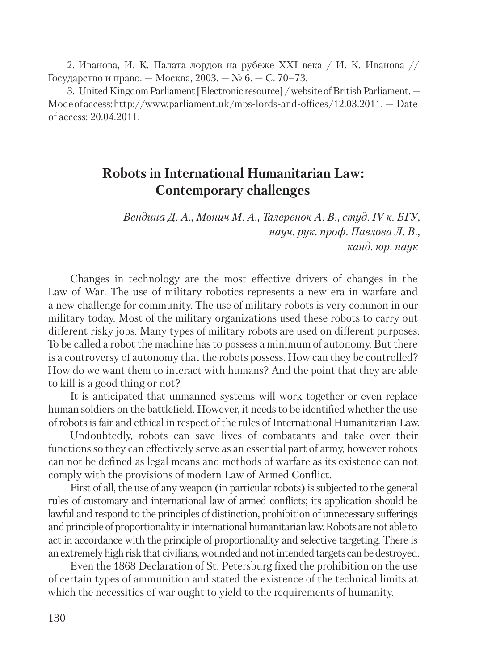2. Иванова, И. К. Палата лордов на рубеже XXI века / И. К. Иванова // Государство и право. — Москва, 2003. — № 6. — C. 70–73.

3. United Kingdom Parliament [Electronic resource] / website of British Parliament. — Mode of access: http://www.parliament.uk/mps-lords-and-offices/12.03.2011. — Date of access: 20.04.2011.

## **Robots in International Humanitarian Law: Contemporary challenges**

*Вендина Д. А., Монич М. А., Талеренок А. В., студ. IV к. БГУ, науч. рук. проф. Павлова Л. В., канд. юр. наук*

Changes in technology are the most effective drivers of changes in the Law of War. The use of military robotics represents a new era in warfare and a new challenge for community. The use of military robots is very common in our military today. Most of the military organizations used these robots to carry out different risky jobs. Many types of military robots are used on different purposes. To be called a robot the machine has to possess a minimum of autonomy. But there is a controversy of autonomy that the robots possess. How can they be controlled? How do we want them to interact with humans? And the point that they are able to kill is a good thing or not?

It is anticipated that unmanned systems will work together or even replace human soldiers on the battlefield. However, it needs to be identified whether the use of robots is fair and ethical in respect of the rules of International Humanitarian Law.

Undoubtedly, robots can save lives of combatants and take over their functions so they can effectively serve as an essential part of army, however robots can not be defined as legal means and methods of warfare as its existence can not comply with the provisions of modern Law of Armed Conflict.

First of all, the use of any weapon (in particular robots) is subjected to the general rules of customary and international law of armed conflicts; its application should be lawful and respond to the principles of distinction, prohibition of unnecessary sufferings and principle of proportionality in international humanitarian law. Robots are not able to act in accordance with the principle of proportionality and selective targeting. There is an extremely high risk that civilians, wounded and not intended targets can be destroyed.

Even the 1868 Declaration of St. Petersburg fixed the prohibition on the use of certain types of ammunition and stated the existence of the technical limits at which the necessities of war ought to yield to the requirements of humanity.